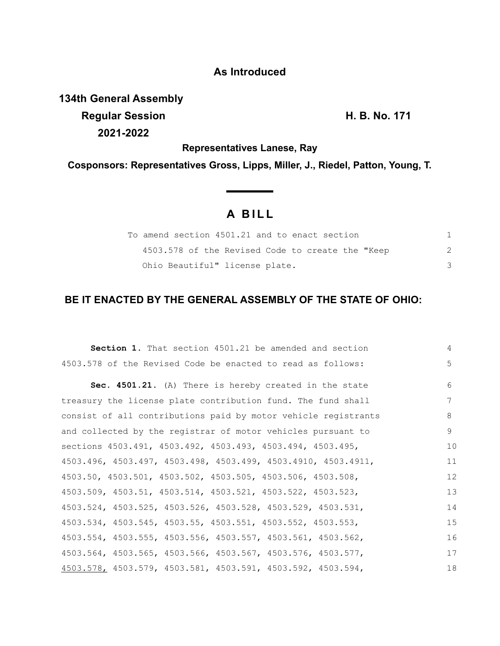## **As Introduced**

**134th General Assembly Regular Session H. B. No. 171**

**2021-2022**

**Representatives Lanese, Ray**

**Cosponsors: Representatives Gross, Lipps, Miller, J., Riedel, Patton, Young, T.**

# **A B I L L**

| To amend section 4501.21 and to enact section    |  |
|--------------------------------------------------|--|
| 4503.578 of the Revised Code to create the "Keep |  |
| Ohio Beautiful" license plate.                   |  |

## **BE IT ENACTED BY THE GENERAL ASSEMBLY OF THE STATE OF OHIO:**

| <b>Section 1.</b> That section 4501.21 be amended and section  | 4           |
|----------------------------------------------------------------|-------------|
| 4503.578 of the Revised Code be enacted to read as follows:    | $5^{\circ}$ |
| Sec. 4501.21. (A) There is hereby created in the state         | 6           |
| treasury the license plate contribution fund. The fund shall   | 7           |
| consist of all contributions paid by motor vehicle registrants | 8           |
| and collected by the registrar of motor vehicles pursuant to   | 9           |
| sections 4503.491, 4503.492, 4503.493, 4503.494, 4503.495,     | 10          |
| 4503.496, 4503.497, 4503.498, 4503.499, 4503.4910, 4503.4911,  | 11          |
| 4503.50, 4503.501, 4503.502, 4503.505, 4503.506, 4503.508,     | 12          |
| 4503.509, 4503.51, 4503.514, 4503.521, 4503.522, 4503.523,     | 13          |
| 4503.524, 4503.525, 4503.526, 4503.528, 4503.529, 4503.531,    | 14          |
| 4503.534, 4503.545, 4503.55, 4503.551, 4503.552, 4503.553,     | 15          |
| 4503.554, 4503.555, 4503.556, 4503.557, 4503.561, 4503.562,    | 16          |
| 4503.564, 4503.565, 4503.566, 4503.567, 4503.576, 4503.577,    | 17          |
| 4503.578, 4503.579, 4503.581, 4503.591, 4503.592, 4503.594,    | 18          |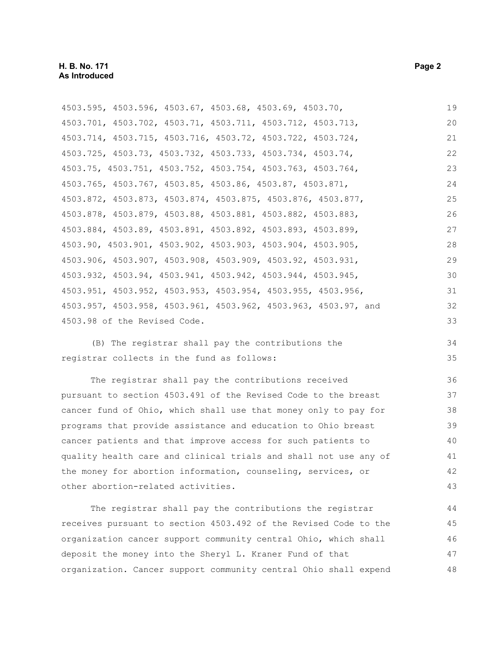| 4503.595, 4503.596, 4503.67, 4503.68, 4503.69, 4503.70,        | 19 |
|----------------------------------------------------------------|----|
| 4503.701, 4503.702, 4503.71, 4503.711, 4503.712, 4503.713,     | 20 |
| 4503.714, 4503.715, 4503.716, 4503.72, 4503.722, 4503.724,     | 21 |
| 4503.725, 4503.73, 4503.732, 4503.733, 4503.734, 4503.74,      | 22 |
| 4503.75, 4503.751, 4503.752, 4503.754, 4503.763, 4503.764,     | 23 |
| 4503.765, 4503.767, 4503.85, 4503.86, 4503.87, 4503.871,       | 24 |
| 4503.872, 4503.873, 4503.874, 4503.875, 4503.876, 4503.877,    | 25 |
| 4503.878, 4503.879, 4503.88, 4503.881, 4503.882, 4503.883,     | 26 |
| 4503.884, 4503.89, 4503.891, 4503.892, 4503.893, 4503.899,     | 27 |
| 4503.90, 4503.901, 4503.902, 4503.903, 4503.904, 4503.905,     | 28 |
| 4503.906, 4503.907, 4503.908, 4503.909, 4503.92, 4503.931,     | 29 |
| 4503.932, 4503.94, 4503.941, 4503.942, 4503.944, 4503.945,     | 30 |
| 4503.951, 4503.952, 4503.953, 4503.954, 4503.955, 4503.956,    | 31 |
| 4503.957, 4503.958, 4503.961, 4503.962, 4503.963, 4503.97, and | 32 |
| 4503.98 of the Revised Code.                                   | 33 |
| (B) The registrar shall pay the contributions the              | 34 |

(B) The registrar shall pay the contributions the registrar collects in the fund as follows:

The registrar shall pay the contributions received pursuant to section 4503.491 of the Revised Code to the breast cancer fund of Ohio, which shall use that money only to pay for programs that provide assistance and education to Ohio breast cancer patients and that improve access for such patients to quality health care and clinical trials and shall not use any of the money for abortion information, counseling, services, or other abortion-related activities.

The registrar shall pay the contributions the registrar receives pursuant to section 4503.492 of the Revised Code to the organization cancer support community central Ohio, which shall deposit the money into the Sheryl L. Kraner Fund of that organization. Cancer support community central Ohio shall expend 44 45 46 47 48

35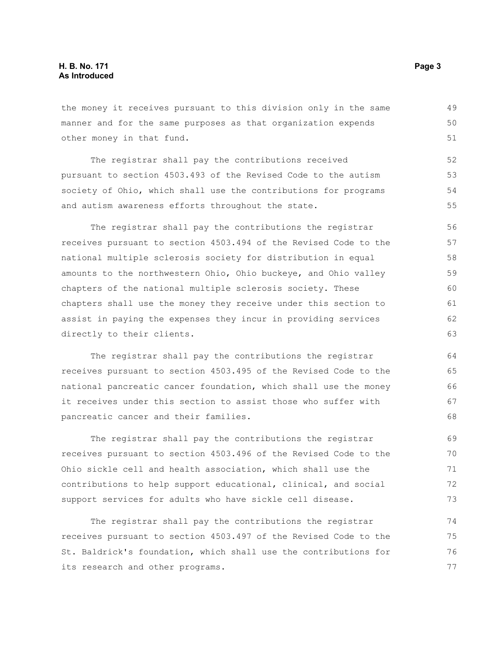the money it receives pursuant to this division only in the same manner and for the same purposes as that organization expends other money in that fund.

The registrar shall pay the contributions received pursuant to section 4503.493 of the Revised Code to the autism society of Ohio, which shall use the contributions for programs and autism awareness efforts throughout the state. 52 53 54 55

The registrar shall pay the contributions the registrar receives pursuant to section 4503.494 of the Revised Code to the national multiple sclerosis society for distribution in equal amounts to the northwestern Ohio, Ohio buckeye, and Ohio valley chapters of the national multiple sclerosis society. These chapters shall use the money they receive under this section to assist in paying the expenses they incur in providing services directly to their clients. 56 57 58 59 60 61 62 63

The registrar shall pay the contributions the registrar receives pursuant to section 4503.495 of the Revised Code to the national pancreatic cancer foundation, which shall use the money it receives under this section to assist those who suffer with pancreatic cancer and their families.

The registrar shall pay the contributions the registrar receives pursuant to section 4503.496 of the Revised Code to the Ohio sickle cell and health association, which shall use the contributions to help support educational, clinical, and social support services for adults who have sickle cell disease.

The registrar shall pay the contributions the registrar receives pursuant to section 4503.497 of the Revised Code to the St. Baldrick's foundation, which shall use the contributions for its research and other programs. 74 75 76 77

49 50 51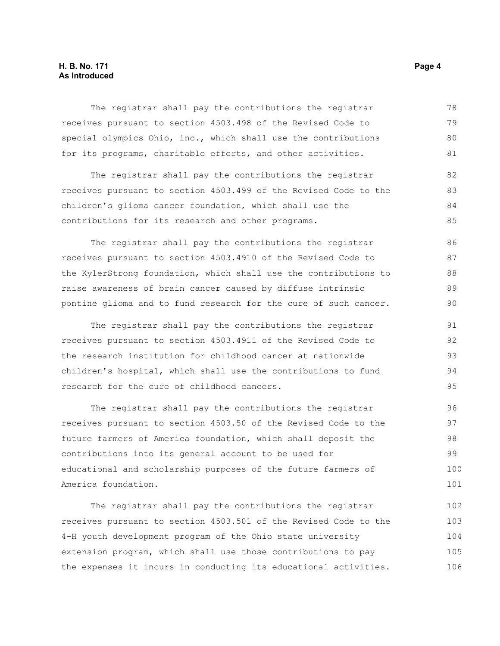#### **H. B. No. 171** Page 4 **As Introduced**

The registrar shall pay the contributions the registrar receives pursuant to section 4503.498 of the Revised Code to special olympics Ohio, inc., which shall use the contributions for its programs, charitable efforts, and other activities. 78 79 80 81

The registrar shall pay the contributions the registrar receives pursuant to section 4503.499 of the Revised Code to the children's glioma cancer foundation, which shall use the contributions for its research and other programs. 82 83 84 85

The registrar shall pay the contributions the registrar receives pursuant to section 4503.4910 of the Revised Code to the KylerStrong foundation, which shall use the contributions to raise awareness of brain cancer caused by diffuse intrinsic pontine glioma and to fund research for the cure of such cancer. 86 87 88 89 90

The registrar shall pay the contributions the registrar receives pursuant to section 4503.4911 of the Revised Code to the research institution for childhood cancer at nationwide children's hospital, which shall use the contributions to fund research for the cure of childhood cancers. 91 92 93 94 95

The registrar shall pay the contributions the registrar receives pursuant to section 4503.50 of the Revised Code to the future farmers of America foundation, which shall deposit the contributions into its general account to be used for educational and scholarship purposes of the future farmers of America foundation. 96 97 98 99 100 101

The registrar shall pay the contributions the registrar receives pursuant to section 4503.501 of the Revised Code to the 4-H youth development program of the Ohio state university extension program, which shall use those contributions to pay the expenses it incurs in conducting its educational activities. 102 103 104 105 106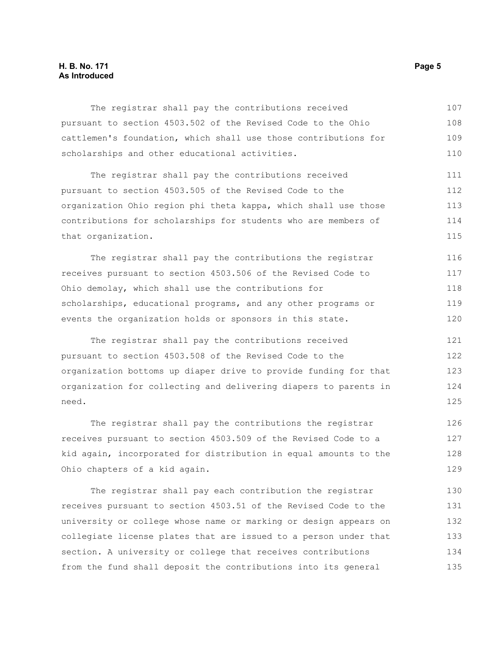#### **H. B. No. 171** Page 5 **As Introduced**

The registrar shall pay the contributions received pursuant to section 4503.502 of the Revised Code to the Ohio cattlemen's foundation, which shall use those contributions for scholarships and other educational activities. 107 108 109 110

The registrar shall pay the contributions received pursuant to section 4503.505 of the Revised Code to the organization Ohio region phi theta kappa, which shall use those contributions for scholarships for students who are members of that organization. 111 112 113 114 115

The registrar shall pay the contributions the registrar receives pursuant to section 4503.506 of the Revised Code to Ohio demolay, which shall use the contributions for scholarships, educational programs, and any other programs or events the organization holds or sponsors in this state. 116 117 118 119 120

The registrar shall pay the contributions received pursuant to section 4503.508 of the Revised Code to the organization bottoms up diaper drive to provide funding for that organization for collecting and delivering diapers to parents in need. 121 122 123 124 125

The registrar shall pay the contributions the registrar receives pursuant to section 4503.509 of the Revised Code to a kid again, incorporated for distribution in equal amounts to the Ohio chapters of a kid again. 126 127 128 129

The registrar shall pay each contribution the registrar receives pursuant to section 4503.51 of the Revised Code to the university or college whose name or marking or design appears on collegiate license plates that are issued to a person under that section. A university or college that receives contributions from the fund shall deposit the contributions into its general 130 131 132 133 134 135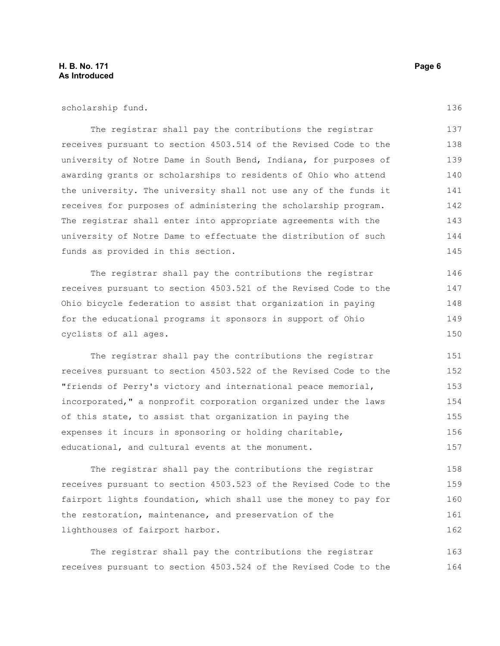#### **H. B. No. 171 Page 6 As Introduced**

scholarship fund.

The registrar shall pay the contributions the registrar receives pursuant to section 4503.514 of the Revised Code to the university of Notre Dame in South Bend, Indiana, for purposes of awarding grants or scholarships to residents of Ohio who attend the university. The university shall not use any of the funds it receives for purposes of administering the scholarship program. The registrar shall enter into appropriate agreements with the university of Notre Dame to effectuate the distribution of such funds as provided in this section. 137 138 139 140 141 142 143 144 145

The registrar shall pay the contributions the registrar receives pursuant to section 4503.521 of the Revised Code to the Ohio bicycle federation to assist that organization in paying for the educational programs it sponsors in support of Ohio cyclists of all ages.

The registrar shall pay the contributions the registrar receives pursuant to section 4503.522 of the Revised Code to the "friends of Perry's victory and international peace memorial, incorporated," a nonprofit corporation organized under the laws of this state, to assist that organization in paying the expenses it incurs in sponsoring or holding charitable, educational, and cultural events at the monument. 151 152 153 154 155 156 157

The registrar shall pay the contributions the registrar receives pursuant to section 4503.523 of the Revised Code to the fairport lights foundation, which shall use the money to pay for the restoration, maintenance, and preservation of the lighthouses of fairport harbor. 158 159 160 161 162

The registrar shall pay the contributions the registrar receives pursuant to section 4503.524 of the Revised Code to the 163 164

136

148 149

150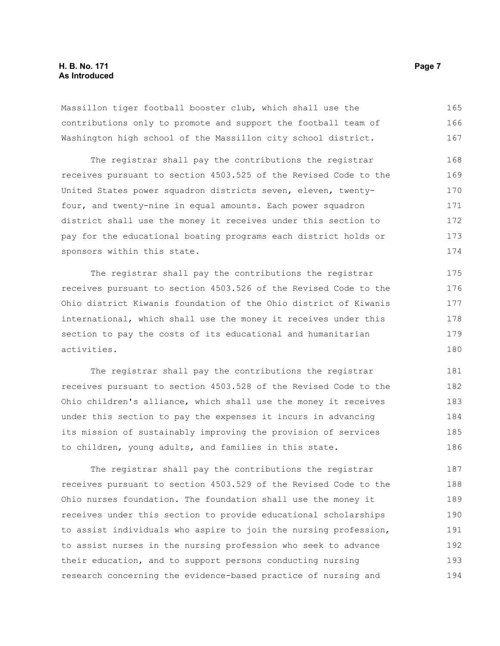#### **H. B. No. 171** Page 7 **As Introduced**

Massillon tiger football booster club, which shall use the contributions only to promote and support the football team of Washington high school of the Massillon city school district. 165 166 167

The registrar shall pay the contributions the registrar receives pursuant to section 4503.525 of the Revised Code to the United States power squadron districts seven, eleven, twentyfour, and twenty-nine in equal amounts. Each power squadron district shall use the money it receives under this section to pay for the educational boating programs each district holds or sponsors within this state. 168 169 170 171 172 173 174

The registrar shall pay the contributions the registrar receives pursuant to section 4503.526 of the Revised Code to the Ohio district Kiwanis foundation of the Ohio district of Kiwanis international, which shall use the money it receives under this section to pay the costs of its educational and humanitarian activities. 176 177

The registrar shall pay the contributions the registrar receives pursuant to section 4503.528 of the Revised Code to the Ohio children's alliance, which shall use the money it receives under this section to pay the expenses it incurs in advancing its mission of sustainably improving the provision of services to children, young adults, and families in this state. 181 182 183 184 185 186

The registrar shall pay the contributions the registrar receives pursuant to section 4503.529 of the Revised Code to the Ohio nurses foundation. The foundation shall use the money it receives under this section to provide educational scholarships to assist individuals who aspire to join the nursing profession, to assist nurses in the nursing profession who seek to advance their education, and to support persons conducting nursing research concerning the evidence-based practice of nursing and 187 188 189 190 191 192 193 194

175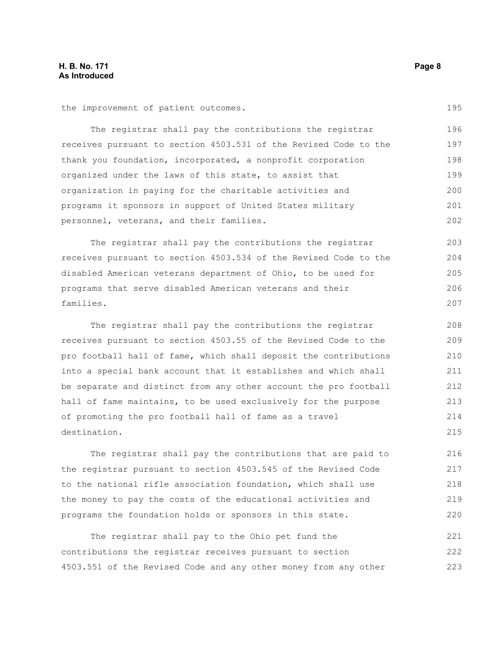the improvement of patient outcomes.

The registrar shall pay the contributions the registrar receives pursuant to section 4503.531 of the Revised Code to the thank you foundation, incorporated, a nonprofit corporation organized under the laws of this state, to assist that organization in paying for the charitable activities and programs it sponsors in support of United States military personnel, veterans, and their families. 196 197 198 199 200 201 202

The registrar shall pay the contributions the registrar receives pursuant to section 4503.534 of the Revised Code to the disabled American veterans department of Ohio, to be used for programs that serve disabled American veterans and their families.

The registrar shall pay the contributions the registrar receives pursuant to section 4503.55 of the Revised Code to the pro football hall of fame, which shall deposit the contributions into a special bank account that it establishes and which shall be separate and distinct from any other account the pro football hall of fame maintains, to be used exclusively for the purpose of promoting the pro football hall of fame as a travel destination. 208 209 210 211 212 213 214 215

The registrar shall pay the contributions that are paid to the registrar pursuant to section 4503.545 of the Revised Code to the national rifle association foundation, which shall use the money to pay the costs of the educational activities and programs the foundation holds or sponsors in this state. 216 217 218 219 220

The registrar shall pay to the Ohio pet fund the contributions the registrar receives pursuant to section 4503.551 of the Revised Code and any other money from any other 221 222 223

195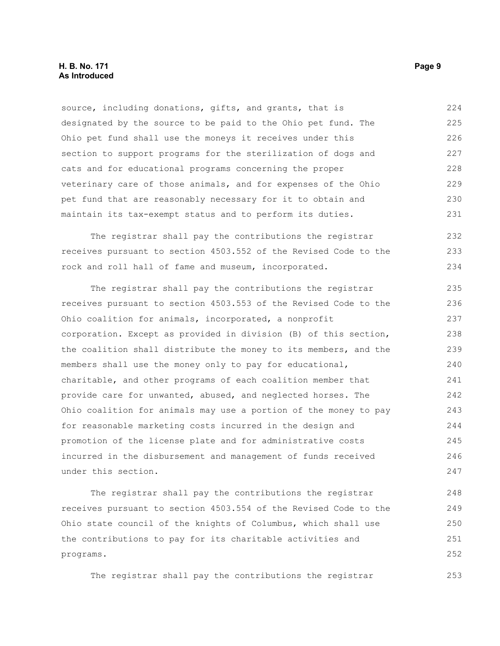#### **H. B. No. 171 Page 9 As Introduced**

source, including donations, gifts, and grants, that is designated by the source to be paid to the Ohio pet fund. The Ohio pet fund shall use the moneys it receives under this section to support programs for the sterilization of dogs and cats and for educational programs concerning the proper veterinary care of those animals, and for expenses of the Ohio pet fund that are reasonably necessary for it to obtain and maintain its tax-exempt status and to perform its duties. 224 225 226 227 228 229 230 231

The registrar shall pay the contributions the registrar receives pursuant to section 4503.552 of the Revised Code to the rock and roll hall of fame and museum, incorporated. 232 233 234

The registrar shall pay the contributions the registrar receives pursuant to section 4503.553 of the Revised Code to the Ohio coalition for animals, incorporated, a nonprofit corporation. Except as provided in division (B) of this section, the coalition shall distribute the money to its members, and the members shall use the money only to pay for educational, charitable, and other programs of each coalition member that provide care for unwanted, abused, and neglected horses. The Ohio coalition for animals may use a portion of the money to pay for reasonable marketing costs incurred in the design and promotion of the license plate and for administrative costs incurred in the disbursement and management of funds received under this section. 235 236 237 238 239 240 241 242 243 244 245 246 247

The registrar shall pay the contributions the registrar receives pursuant to section 4503.554 of the Revised Code to the Ohio state council of the knights of Columbus, which shall use the contributions to pay for its charitable activities and programs. 248 249 250 251 252

The registrar shall pay the contributions the registrar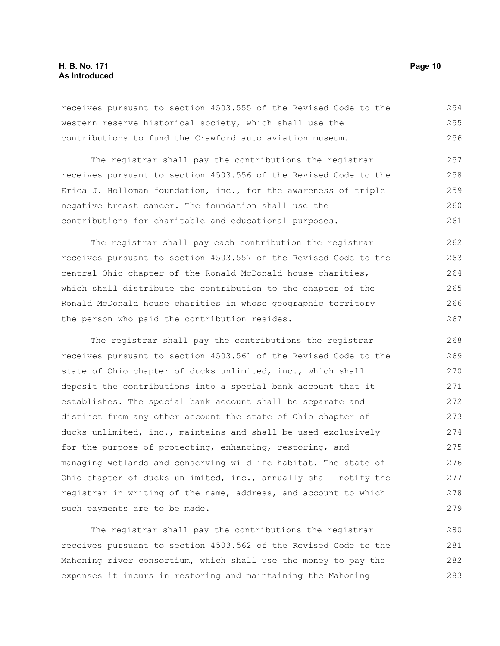#### **H. B. No. 171 Page 10 As Introduced**

receives pursuant to section 4503.555 of the Revised Code to the western reserve historical society, which shall use the contributions to fund the Crawford auto aviation museum. 254 255 256

The registrar shall pay the contributions the registrar receives pursuant to section 4503.556 of the Revised Code to the Erica J. Holloman foundation, inc., for the awareness of triple negative breast cancer. The foundation shall use the contributions for charitable and educational purposes. 257 258 259 260 261

The registrar shall pay each contribution the registrar receives pursuant to section 4503.557 of the Revised Code to the central Ohio chapter of the Ronald McDonald house charities, which shall distribute the contribution to the chapter of the Ronald McDonald house charities in whose geographic territory the person who paid the contribution resides. 262 263 264 265 266 267

The registrar shall pay the contributions the registrar receives pursuant to section 4503.561 of the Revised Code to the state of Ohio chapter of ducks unlimited, inc., which shall deposit the contributions into a special bank account that it establishes. The special bank account shall be separate and distinct from any other account the state of Ohio chapter of ducks unlimited, inc., maintains and shall be used exclusively for the purpose of protecting, enhancing, restoring, and managing wetlands and conserving wildlife habitat. The state of Ohio chapter of ducks unlimited, inc., annually shall notify the registrar in writing of the name, address, and account to which such payments are to be made. 268 269 270 271 272 273 274 275 276 277 278 279

The registrar shall pay the contributions the registrar receives pursuant to section 4503.562 of the Revised Code to the Mahoning river consortium, which shall use the money to pay the expenses it incurs in restoring and maintaining the Mahoning 280 281 282 283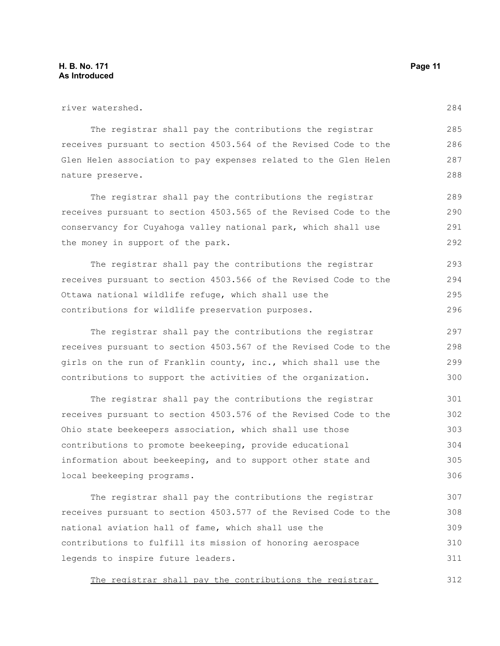| river watershed.                                                 | 284 |
|------------------------------------------------------------------|-----|
| The registrar shall pay the contributions the registrar          | 285 |
| receives pursuant to section 4503.564 of the Revised Code to the | 286 |
| Glen Helen association to pay expenses related to the Glen Helen | 287 |
| nature preserve.                                                 | 288 |
| The registrar shall pay the contributions the registrar          | 289 |
| receives pursuant to section 4503.565 of the Revised Code to the | 290 |
| conservancy for Cuyahoga valley national park, which shall use   | 291 |
| the money in support of the park.                                | 292 |
| The registrar shall pay the contributions the registrar          | 293 |
| receives pursuant to section 4503.566 of the Revised Code to the | 294 |
| Ottawa national wildlife refuge, which shall use the             | 295 |
| contributions for wildlife preservation purposes.                | 296 |
| The registrar shall pay the contributions the registrar          | 297 |
| receives pursuant to section 4503.567 of the Revised Code to the | 298 |
| girls on the run of Franklin county, inc., which shall use the   | 299 |
| contributions to support the activities of the organization.     | 300 |

The registrar shall pay the contributions the registrar receives pursuant to section 4503.576 of the Revised Code to the Ohio state beekeepers association, which shall use those contributions to promote beekeeping, provide educational information about beekeeping, and to support other state and local beekeeping programs. 301 302 303 304 305 306

The registrar shall pay the contributions the registrar receives pursuant to section 4503.577 of the Revised Code to the national aviation hall of fame, which shall use the contributions to fulfill its mission of honoring aerospace legends to inspire future leaders. 307 308 309 310 311

The registrar shall pay the contributions the registrar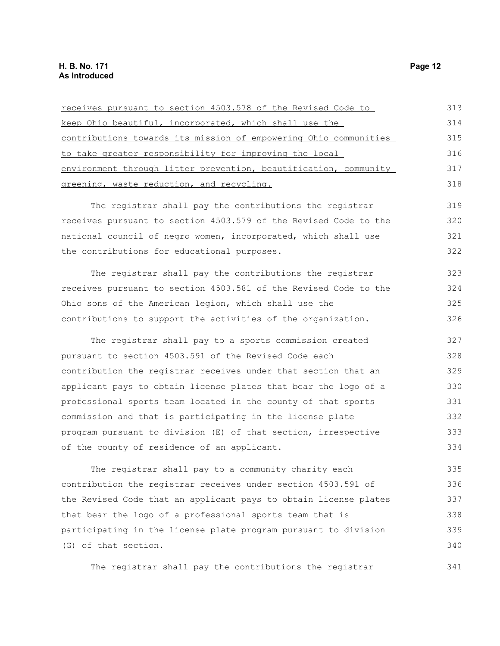(G) of that section.

| receives pursuant to section 4503.578 of the Revised Code to     | 313 |
|------------------------------------------------------------------|-----|
| keep Ohio beautiful, incorporated, which shall use the           | 314 |
| contributions towards its mission of empowering Ohio communities | 315 |
| to take greater responsibility for improving the local           | 316 |
| environment through litter prevention, beautification, community | 317 |
| greening, waste reduction, and recycling.                        | 318 |
| The registrar shall pay the contributions the registrar          | 319 |
| receives pursuant to section 4503.579 of the Revised Code to the | 320 |
| national council of negro women, incorporated, which shall use   | 321 |
| the contributions for educational purposes.                      | 322 |
| The registrar shall pay the contributions the registrar          | 323 |
| receives pursuant to section 4503.581 of the Revised Code to the | 324 |
| Ohio sons of the American legion, which shall use the            | 325 |
| contributions to support the activities of the organization.     | 326 |
| The registrar shall pay to a sports commission created           | 327 |
| pursuant to section 4503.591 of the Revised Code each            | 328 |
| contribution the registrar receives under that section that an   | 329 |
| applicant pays to obtain license plates that bear the logo of a  | 330 |
| professional sports team located in the county of that sports    | 331 |
| commission and that is participating in the license plate        | 332 |
| program pursuant to division (E) of that section, irrespective   | 333 |
| of the county of residence of an applicant.                      | 334 |
| The registrar shall pay to a community charity each              | 335 |
| contribution the registrar receives under section 4503.591 of    | 336 |
| the Revised Code that an applicant pays to obtain license plates | 337 |
| that bear the logo of a professional sports team that is         | 338 |
| participating in the license plate program pursuant to division  | 339 |

The registrar shall pay the contributions the registrar

340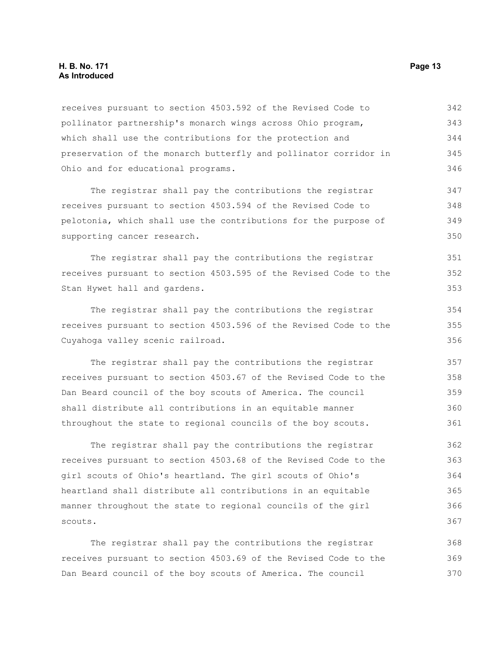#### **H. B. No. 171 Page 13 As Introduced**

receives pursuant to section 4503.592 of the Revised Code to pollinator partnership's monarch wings across Ohio program, which shall use the contributions for the protection and preservation of the monarch butterfly and pollinator corridor in Ohio and for educational programs. 342 343 344 345 346

The registrar shall pay the contributions the registrar receives pursuant to section 4503.594 of the Revised Code to pelotonia, which shall use the contributions for the purpose of supporting cancer research. 347 348 349 350

The registrar shall pay the contributions the registrar receives pursuant to section 4503.595 of the Revised Code to the Stan Hywet hall and gardens.

The registrar shall pay the contributions the registrar receives pursuant to section 4503.596 of the Revised Code to the Cuyahoga valley scenic railroad. 354 355 356

The registrar shall pay the contributions the registrar receives pursuant to section 4503.67 of the Revised Code to the Dan Beard council of the boy scouts of America. The council shall distribute all contributions in an equitable manner throughout the state to regional councils of the boy scouts. 357 358 359 360 361

The registrar shall pay the contributions the registrar receives pursuant to section 4503.68 of the Revised Code to the girl scouts of Ohio's heartland. The girl scouts of Ohio's heartland shall distribute all contributions in an equitable manner throughout the state to regional councils of the girl scouts. 362 363 364 365 366 367

The registrar shall pay the contributions the registrar receives pursuant to section 4503.69 of the Revised Code to the Dan Beard council of the boy scouts of America. The council 368 369 370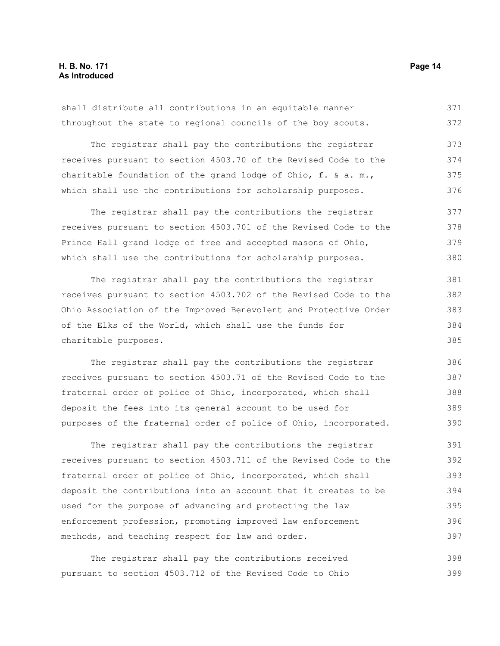shall distribute all contributions in an equitable manner throughout the state to regional councils of the boy scouts. 371 372

The registrar shall pay the contributions the registrar receives pursuant to section 4503.70 of the Revised Code to the charitable foundation of the grand lodge of Ohio, f. & a. m., which shall use the contributions for scholarship purposes. 373 374 375 376

The registrar shall pay the contributions the registrar receives pursuant to section 4503.701 of the Revised Code to the Prince Hall grand lodge of free and accepted masons of Ohio, which shall use the contributions for scholarship purposes. 377 378 379 380

The registrar shall pay the contributions the registrar receives pursuant to section 4503.702 of the Revised Code to the Ohio Association of the Improved Benevolent and Protective Order of the Elks of the World, which shall use the funds for charitable purposes. 381 382 383 384

The registrar shall pay the contributions the registrar receives pursuant to section 4503.71 of the Revised Code to the fraternal order of police of Ohio, incorporated, which shall deposit the fees into its general account to be used for purposes of the fraternal order of police of Ohio, incorporated.

The registrar shall pay the contributions the registrar receives pursuant to section 4503.711 of the Revised Code to the fraternal order of police of Ohio, incorporated, which shall deposit the contributions into an account that it creates to be used for the purpose of advancing and protecting the law enforcement profession, promoting improved law enforcement methods, and teaching respect for law and order. 391 392 393 394 395 396 397

The registrar shall pay the contributions received pursuant to section 4503.712 of the Revised Code to Ohio 398 399

385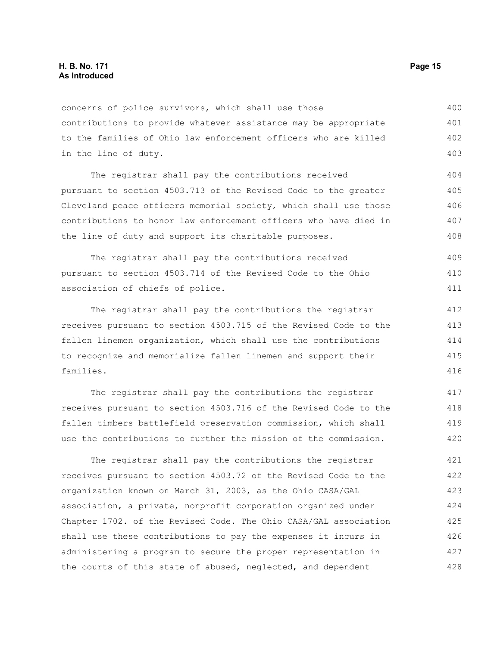concerns of police survivors, which shall use those contributions to provide whatever assistance may be appropriate to the families of Ohio law enforcement officers who are killed in the line of duty. 400 401 402 403

The registrar shall pay the contributions received pursuant to section 4503.713 of the Revised Code to the greater Cleveland peace officers memorial society, which shall use those contributions to honor law enforcement officers who have died in the line of duty and support its charitable purposes. 404 405 406 407 408

The registrar shall pay the contributions received pursuant to section 4503.714 of the Revised Code to the Ohio association of chiefs of police. 409 410 411

The registrar shall pay the contributions the registrar receives pursuant to section 4503.715 of the Revised Code to the fallen linemen organization, which shall use the contributions to recognize and memorialize fallen linemen and support their families. 412 413 414 415 416

The registrar shall pay the contributions the registrar receives pursuant to section 4503.716 of the Revised Code to the fallen timbers battlefield preservation commission, which shall use the contributions to further the mission of the commission. 417 418 419 420

The registrar shall pay the contributions the registrar receives pursuant to section 4503.72 of the Revised Code to the organization known on March 31, 2003, as the Ohio CASA/GAL association, a private, nonprofit corporation organized under Chapter 1702. of the Revised Code. The Ohio CASA/GAL association shall use these contributions to pay the expenses it incurs in administering a program to secure the proper representation in the courts of this state of abused, neglected, and dependent 421 422 423 424 425 426 427 428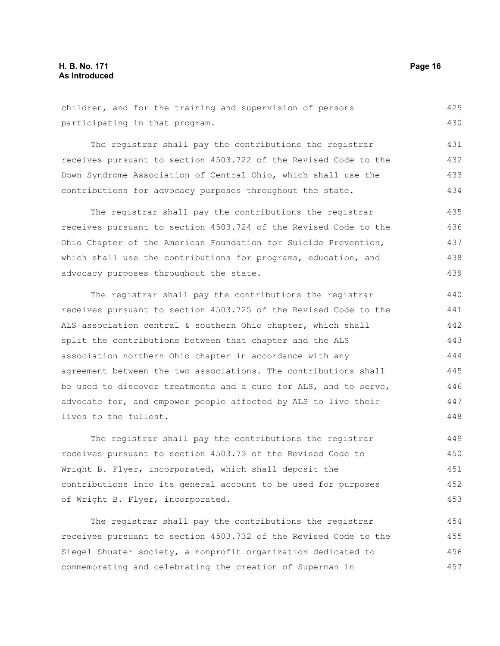children, and for the training and supervision of persons participating in that program. 429 430

The registrar shall pay the contributions the registrar receives pursuant to section 4503.722 of the Revised Code to the Down Syndrome Association of Central Ohio, which shall use the contributions for advocacy purposes throughout the state. 431 432 433 434

The registrar shall pay the contributions the registrar receives pursuant to section 4503.724 of the Revised Code to the Ohio Chapter of the American Foundation for Suicide Prevention, which shall use the contributions for programs, education, and advocacy purposes throughout the state. 435 436 437 438 439

The registrar shall pay the contributions the registrar receives pursuant to section 4503.725 of the Revised Code to the ALS association central & southern Ohio chapter, which shall split the contributions between that chapter and the ALS association northern Ohio chapter in accordance with any agreement between the two associations. The contributions shall be used to discover treatments and a cure for ALS, and to serve, advocate for, and empower people affected by ALS to live their lives to the fullest.

The registrar shall pay the contributions the registrar receives pursuant to section 4503.73 of the Revised Code to Wright B. Flyer, incorporated, which shall deposit the contributions into its general account to be used for purposes of Wright B. Flyer, incorporated. 449 450 451 452 453

The registrar shall pay the contributions the registrar receives pursuant to section 4503.732 of the Revised Code to the Siegel Shuster society, a nonprofit organization dedicated to commemorating and celebrating the creation of Superman in 454 455 456 457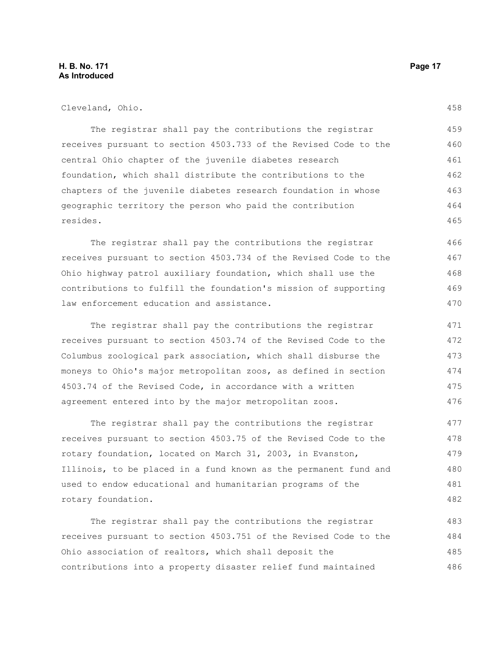#### **H. B. No. 171 Page 17 As Introduced**

The registrar shall pay the contributions the registrar receives pursuant to section 4503.733 of the Revised Code to the central Ohio chapter of the juvenile diabetes research foundation, which shall distribute the contributions to the chapters of the juvenile diabetes research foundation in whose geographic territory the person who paid the contribution resides. 459 460 461 462 463 464 465

The registrar shall pay the contributions the registrar receives pursuant to section 4503.734 of the Revised Code to the Ohio highway patrol auxiliary foundation, which shall use the contributions to fulfill the foundation's mission of supporting law enforcement education and assistance.

The registrar shall pay the contributions the registrar receives pursuant to section 4503.74 of the Revised Code to the Columbus zoological park association, which shall disburse the moneys to Ohio's major metropolitan zoos, as defined in section 4503.74 of the Revised Code, in accordance with a written agreement entered into by the major metropolitan zoos. 471 472 473 474 475 476

The registrar shall pay the contributions the registrar receives pursuant to section 4503.75 of the Revised Code to the rotary foundation, located on March 31, 2003, in Evanston, Illinois, to be placed in a fund known as the permanent fund and used to endow educational and humanitarian programs of the rotary foundation. 477 478 479 480 481 482

The registrar shall pay the contributions the registrar receives pursuant to section 4503.751 of the Revised Code to the Ohio association of realtors, which shall deposit the contributions into a property disaster relief fund maintained 483 484 485 486

458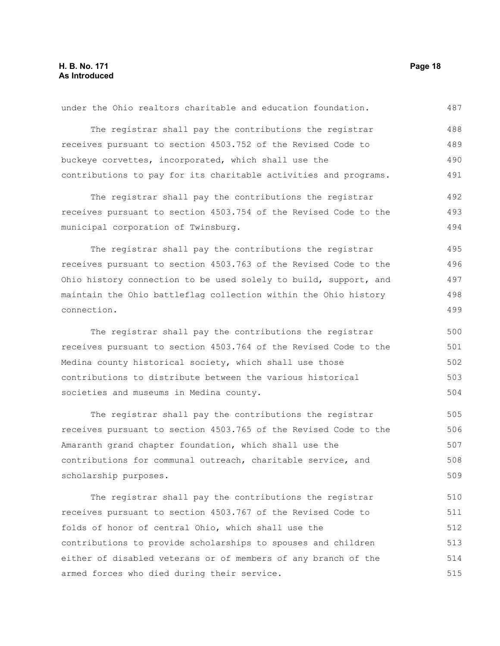| The registrar shall pay the contributions the registrar          | 488 |
|------------------------------------------------------------------|-----|
| receives pursuant to section 4503.752 of the Revised Code to     | 489 |
| buckeye corvettes, incorporated, which shall use the             | 490 |
| contributions to pay for its charitable activities and programs. | 491 |
|                                                                  |     |
| The registrar shall pay the contributions the registrar          | 492 |
| receives pursuant to section 4503.754 of the Revised Code to the | 493 |
| municipal corporation of Twinsburg.                              | 494 |
| The registrar shall pay the contributions the registrar          | 495 |
| receives pursuant to section 4503.763 of the Revised Code to the | 496 |
| Ohio history connection to be used solely to build, support, and | 497 |
| maintain the Ohio battleflag collection within the Ohio history  | 498 |
| connection.                                                      | 499 |
| The registrar shall pay the contributions the registrar          | 500 |
| receives pursuant to section 4503.764 of the Revised Code to the | 501 |
| Medina county historical society, which shall use those          | 502 |
| contributions to distribute between the various historical       | 503 |
| societies and museums in Medina county.                          | 504 |
| The registrar shall pay the contributions the registrar          | 505 |
| receives pursuant to section 4503.765 of the Revised Code to the | 506 |
| Amaranth grand chapter foundation, which shall use the           | 507 |
| contributions for communal outreach, charitable service, and     | 508 |
| scholarship purposes.                                            | 509 |
| The registrar shall pay the contributions the registrar          | 510 |
| receives pursuant to section 4503.767 of the Revised Code to     | 511 |
| folds of honor of central Ohio, which shall use the              | 512 |
| contributions to provide scholarships to spouses and children    | 513 |
| either of disabled veterans or of members of any branch of the   | 514 |
| armed forces who died during their service.                      | 515 |

under the Ohio realtors charitable and education foundation.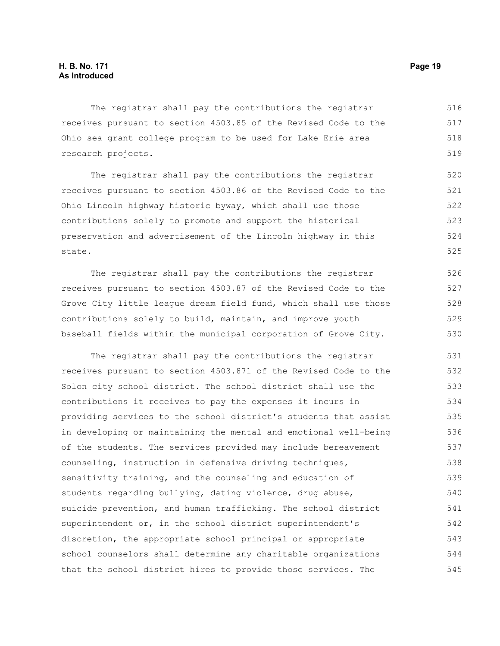The registrar shall pay the contributions the registrar receives pursuant to section 4503.85 of the Revised Code to the Ohio sea grant college program to be used for Lake Erie area research projects. 516 517 518 519

The registrar shall pay the contributions the registrar receives pursuant to section 4503.86 of the Revised Code to the Ohio Lincoln highway historic byway, which shall use those contributions solely to promote and support the historical preservation and advertisement of the Lincoln highway in this state. 520 521 522 523 524 525

The registrar shall pay the contributions the registrar receives pursuant to section 4503.87 of the Revised Code to the Grove City little league dream field fund, which shall use those contributions solely to build, maintain, and improve youth baseball fields within the municipal corporation of Grove City. 526 527 528 529 530

The registrar shall pay the contributions the registrar receives pursuant to section 4503.871 of the Revised Code to the Solon city school district. The school district shall use the contributions it receives to pay the expenses it incurs in providing services to the school district's students that assist in developing or maintaining the mental and emotional well-being of the students. The services provided may include bereavement counseling, instruction in defensive driving techniques, sensitivity training, and the counseling and education of students regarding bullying, dating violence, drug abuse, suicide prevention, and human trafficking. The school district superintendent or, in the school district superintendent's discretion, the appropriate school principal or appropriate school counselors shall determine any charitable organizations that the school district hires to provide those services. The 531 532 533 534 535 536 537 538 539 540 541 542 543 544 545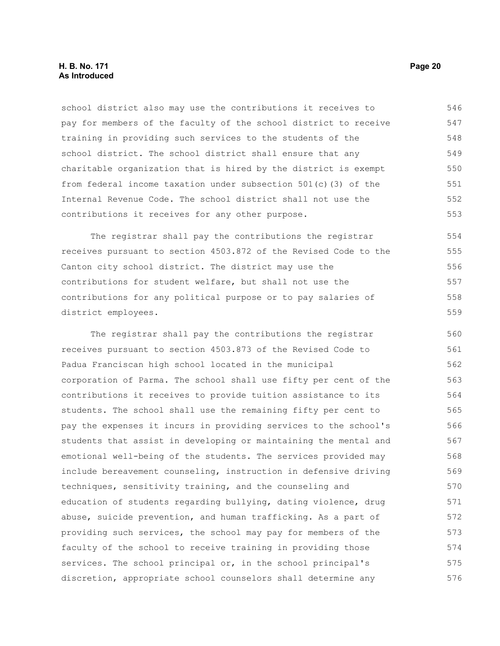#### **H. B. No. 171 Page 20 As Introduced**

school district also may use the contributions it receives to pay for members of the faculty of the school district to receive training in providing such services to the students of the school district. The school district shall ensure that any charitable organization that is hired by the district is exempt from federal income taxation under subsection 501(c)(3) of the Internal Revenue Code. The school district shall not use the contributions it receives for any other purpose. 546 547 548 549 550 551 552 553

The registrar shall pay the contributions the registrar receives pursuant to section 4503.872 of the Revised Code to the Canton city school district. The district may use the contributions for student welfare, but shall not use the contributions for any political purpose or to pay salaries of district employees. 554 555 557 558

The registrar shall pay the contributions the registrar receives pursuant to section 4503.873 of the Revised Code to Padua Franciscan high school located in the municipal corporation of Parma. The school shall use fifty per cent of the contributions it receives to provide tuition assistance to its students. The school shall use the remaining fifty per cent to pay the expenses it incurs in providing services to the school's students that assist in developing or maintaining the mental and emotional well-being of the students. The services provided may include bereavement counseling, instruction in defensive driving techniques, sensitivity training, and the counseling and education of students regarding bullying, dating violence, drug abuse, suicide prevention, and human trafficking. As a part of providing such services, the school may pay for members of the faculty of the school to receive training in providing those services. The school principal or, in the school principal's discretion, appropriate school counselors shall determine any 560 561 562 563 564 565 566 567 568 569 570 571 572 573 574 575 576

556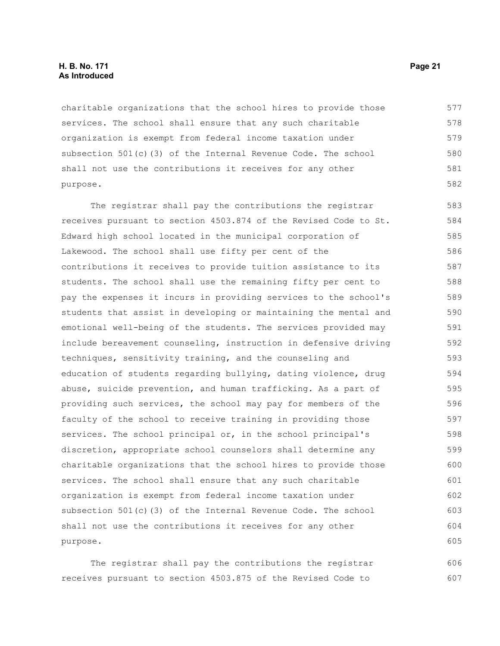#### **H. B. No. 171 Page 21 As Introduced**

charitable organizations that the school hires to provide those services. The school shall ensure that any such charitable organization is exempt from federal income taxation under subsection 501(c)(3) of the Internal Revenue Code. The school shall not use the contributions it receives for any other purpose. 577 578 579 580 581 582

The registrar shall pay the contributions the registrar receives pursuant to section 4503.874 of the Revised Code to St. Edward high school located in the municipal corporation of Lakewood. The school shall use fifty per cent of the contributions it receives to provide tuition assistance to its students. The school shall use the remaining fifty per cent to pay the expenses it incurs in providing services to the school's students that assist in developing or maintaining the mental and emotional well-being of the students. The services provided may include bereavement counseling, instruction in defensive driving techniques, sensitivity training, and the counseling and education of students regarding bullying, dating violence, drug abuse, suicide prevention, and human trafficking. As a part of providing such services, the school may pay for members of the faculty of the school to receive training in providing those services. The school principal or, in the school principal's discretion, appropriate school counselors shall determine any charitable organizations that the school hires to provide those services. The school shall ensure that any such charitable organization is exempt from federal income taxation under subsection 501(c)(3) of the Internal Revenue Code. The school shall not use the contributions it receives for any other purpose. 583 584 585 586 587 588 589 590 591 592 593 594 595 596 597 598 599 600 601 602 603 604 605

The registrar shall pay the contributions the registrar receives pursuant to section 4503.875 of the Revised Code to 606 607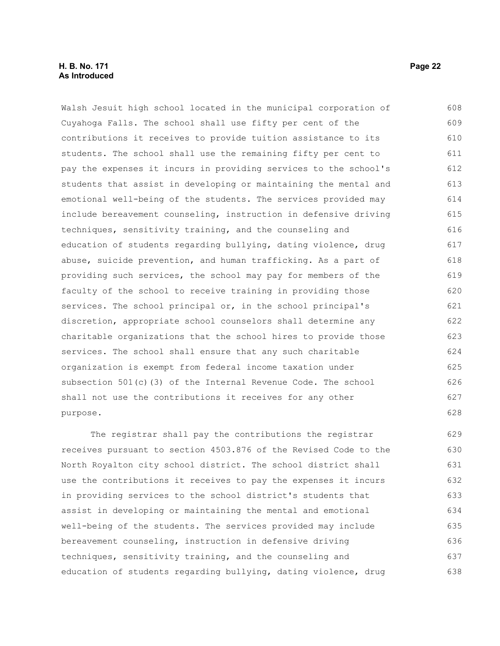#### **H. B. No. 171 Page 22 As Introduced**

Walsh Jesuit high school located in the municipal corporation of Cuyahoga Falls. The school shall use fifty per cent of the contributions it receives to provide tuition assistance to its students. The school shall use the remaining fifty per cent to pay the expenses it incurs in providing services to the school's students that assist in developing or maintaining the mental and emotional well-being of the students. The services provided may include bereavement counseling, instruction in defensive driving techniques, sensitivity training, and the counseling and education of students regarding bullying, dating violence, drug abuse, suicide prevention, and human trafficking. As a part of providing such services, the school may pay for members of the faculty of the school to receive training in providing those services. The school principal or, in the school principal's discretion, appropriate school counselors shall determine any charitable organizations that the school hires to provide those services. The school shall ensure that any such charitable organization is exempt from federal income taxation under subsection 501(c)(3) of the Internal Revenue Code. The school shall not use the contributions it receives for any other purpose. 608 609 610 611 612 613 614 615 616 617 618 619 620 621 622 623 624 625 626 627 628

The registrar shall pay the contributions the registrar receives pursuant to section 4503.876 of the Revised Code to the North Royalton city school district. The school district shall use the contributions it receives to pay the expenses it incurs in providing services to the school district's students that assist in developing or maintaining the mental and emotional well-being of the students. The services provided may include bereavement counseling, instruction in defensive driving techniques, sensitivity training, and the counseling and education of students regarding bullying, dating violence, drug 629 630 631 632 633 634 635 636 637 638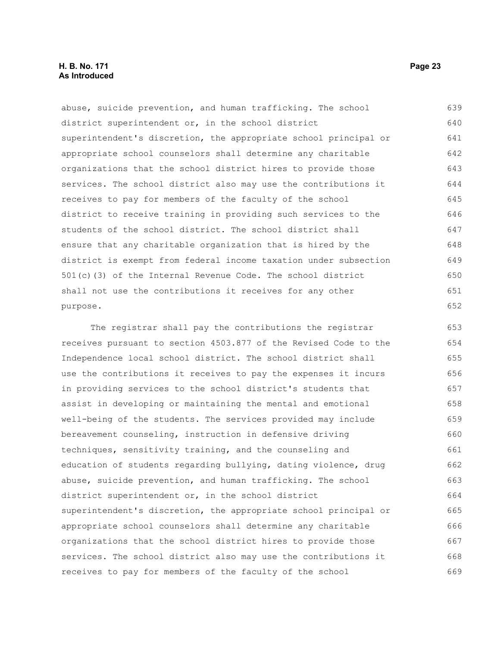#### **H. B. No. 171 Page 23 As Introduced**

abuse, suicide prevention, and human trafficking. The school district superintendent or, in the school district superintendent's discretion, the appropriate school principal or appropriate school counselors shall determine any charitable organizations that the school district hires to provide those services. The school district also may use the contributions it receives to pay for members of the faculty of the school district to receive training in providing such services to the students of the school district. The school district shall ensure that any charitable organization that is hired by the district is exempt from federal income taxation under subsection 501(c)(3) of the Internal Revenue Code. The school district shall not use the contributions it receives for any other purpose. 639 640 641 642 643 644 645 646 647 648 649 650 651 652

The registrar shall pay the contributions the registrar receives pursuant to section 4503.877 of the Revised Code to the Independence local school district. The school district shall use the contributions it receives to pay the expenses it incurs in providing services to the school district's students that assist in developing or maintaining the mental and emotional well-being of the students. The services provided may include bereavement counseling, instruction in defensive driving techniques, sensitivity training, and the counseling and education of students regarding bullying, dating violence, drug abuse, suicide prevention, and human trafficking. The school district superintendent or, in the school district superintendent's discretion, the appropriate school principal or appropriate school counselors shall determine any charitable organizations that the school district hires to provide those services. The school district also may use the contributions it receives to pay for members of the faculty of the school 653 654 655 656 657 658 659 660 661 662 663 664 665 666 667 668 669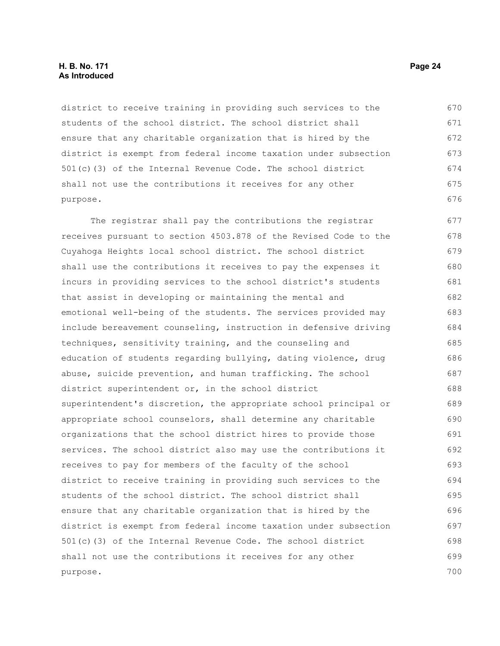#### **H. B. No. 171 Page 24 As Introduced**

district to receive training in providing such services to the students of the school district. The school district shall ensure that any charitable organization that is hired by the district is exempt from federal income taxation under subsection 501(c)(3) of the Internal Revenue Code. The school district shall not use the contributions it receives for any other purpose.

The registrar shall pay the contributions the registrar receives pursuant to section 4503.878 of the Revised Code to the Cuyahoga Heights local school district. The school district shall use the contributions it receives to pay the expenses it incurs in providing services to the school district's students that assist in developing or maintaining the mental and emotional well-being of the students. The services provided may include bereavement counseling, instruction in defensive driving techniques, sensitivity training, and the counseling and education of students regarding bullying, dating violence, drug abuse, suicide prevention, and human trafficking. The school district superintendent or, in the school district superintendent's discretion, the appropriate school principal or appropriate school counselors, shall determine any charitable organizations that the school district hires to provide those services. The school district also may use the contributions it receives to pay for members of the faculty of the school district to receive training in providing such services to the students of the school district. The school district shall ensure that any charitable organization that is hired by the district is exempt from federal income taxation under subsection 501(c)(3) of the Internal Revenue Code. The school district shall not use the contributions it receives for any other purpose. 677 678 679 680 681 682 683 684 685 686 687 688 689 690 691 692 693 694 695 696 697 698 699 700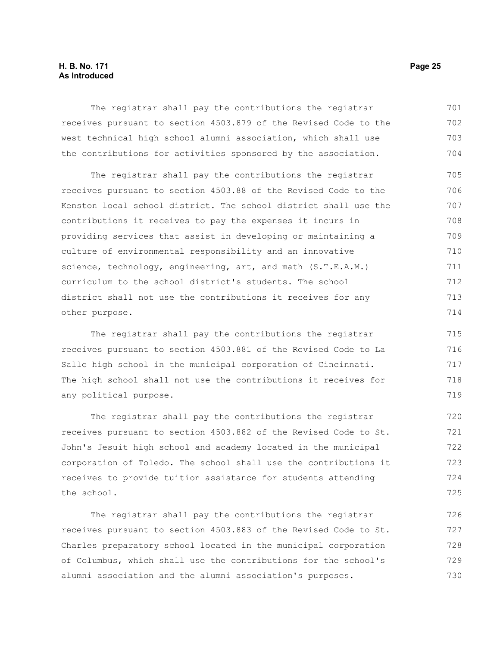#### **H. B. No. 171 Page 25 As Introduced**

The registrar shall pay the contributions the registrar receives pursuant to section 4503.879 of the Revised Code to the west technical high school alumni association, which shall use the contributions for activities sponsored by the association. 701 702 703 704

The registrar shall pay the contributions the registrar receives pursuant to section 4503.88 of the Revised Code to the Kenston local school district. The school district shall use the contributions it receives to pay the expenses it incurs in providing services that assist in developing or maintaining a culture of environmental responsibility and an innovative science, technology, engineering, art, and math (S.T.E.A.M.) curriculum to the school district's students. The school district shall not use the contributions it receives for any other purpose. 705 706 707 708 709 710 711 712 713 714

The registrar shall pay the contributions the registrar receives pursuant to section 4503.881 of the Revised Code to La Salle high school in the municipal corporation of Cincinnati. The high school shall not use the contributions it receives for any political purpose.

The registrar shall pay the contributions the registrar receives pursuant to section 4503.882 of the Revised Code to St. John's Jesuit high school and academy located in the municipal corporation of Toledo. The school shall use the contributions it receives to provide tuition assistance for students attending the school. 720 721 722 723 724 725

The registrar shall pay the contributions the registrar receives pursuant to section 4503.883 of the Revised Code to St. Charles preparatory school located in the municipal corporation of Columbus, which shall use the contributions for the school's alumni association and the alumni association's purposes. 726 727 728 729 730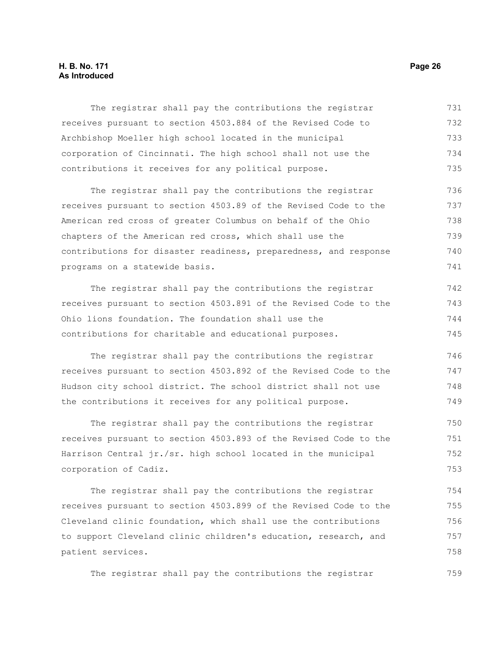#### **H. B. No. 171 Page 26 As Introduced**

The registrar shall pay the contributions the registrar receives pursuant to section 4503.884 of the Revised Code to Archbishop Moeller high school located in the municipal corporation of Cincinnati. The high school shall not use the contributions it receives for any political purpose. 731 732 733 734 735

The registrar shall pay the contributions the registrar receives pursuant to section 4503.89 of the Revised Code to the American red cross of greater Columbus on behalf of the Ohio chapters of the American red cross, which shall use the contributions for disaster readiness, preparedness, and response programs on a statewide basis. 736 737 738 739 740 741

The registrar shall pay the contributions the registrar receives pursuant to section 4503.891 of the Revised Code to the Ohio lions foundation. The foundation shall use the contributions for charitable and educational purposes. 742 743 744 745

The registrar shall pay the contributions the registrar receives pursuant to section 4503.892 of the Revised Code to the Hudson city school district. The school district shall not use the contributions it receives for any political purpose. 746 747 748 749

The registrar shall pay the contributions the registrar receives pursuant to section 4503.893 of the Revised Code to the Harrison Central jr./sr. high school located in the municipal corporation of Cadiz. 750 751 752 753

The registrar shall pay the contributions the registrar receives pursuant to section 4503.899 of the Revised Code to the Cleveland clinic foundation, which shall use the contributions to support Cleveland clinic children's education, research, and patient services. 754 755 756 757 758

The registrar shall pay the contributions the registrar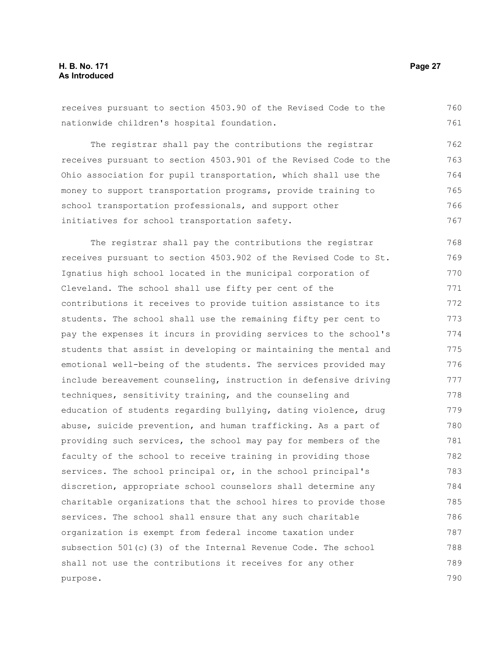receives pursuant to section 4503.90 of the Revised Code to the nationwide children's hospital foundation. 760 761

The registrar shall pay the contributions the registrar receives pursuant to section 4503.901 of the Revised Code to the Ohio association for pupil transportation, which shall use the money to support transportation programs, provide training to school transportation professionals, and support other initiatives for school transportation safety. 762 763 764 765 766 767

The registrar shall pay the contributions the registrar receives pursuant to section 4503.902 of the Revised Code to St. Ignatius high school located in the municipal corporation of Cleveland. The school shall use fifty per cent of the contributions it receives to provide tuition assistance to its students. The school shall use the remaining fifty per cent to pay the expenses it incurs in providing services to the school's students that assist in developing or maintaining the mental and emotional well-being of the students. The services provided may include bereavement counseling, instruction in defensive driving techniques, sensitivity training, and the counseling and education of students regarding bullying, dating violence, drug abuse, suicide prevention, and human trafficking. As a part of providing such services, the school may pay for members of the faculty of the school to receive training in providing those services. The school principal or, in the school principal's discretion, appropriate school counselors shall determine any charitable organizations that the school hires to provide those services. The school shall ensure that any such charitable organization is exempt from federal income taxation under subsection 501(c)(3) of the Internal Revenue Code. The school shall not use the contributions it receives for any other purpose. 768 769 770 771 772 773 774 775 776 777 778 779 780 781 782 783 784 785 786 787 788 789 790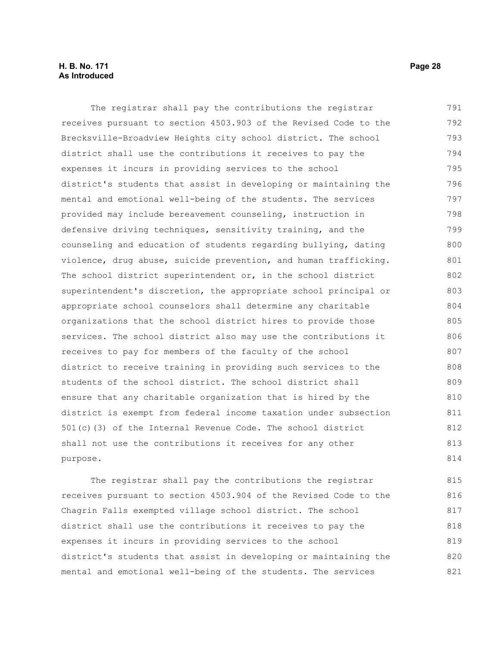#### **H. B. No. 171 Page 28 As Introduced**

The registrar shall pay the contributions the registrar receives pursuant to section 4503.903 of the Revised Code to the Brecksville-Broadview Heights city school district. The school district shall use the contributions it receives to pay the expenses it incurs in providing services to the school district's students that assist in developing or maintaining the mental and emotional well-being of the students. The services provided may include bereavement counseling, instruction in defensive driving techniques, sensitivity training, and the counseling and education of students regarding bullying, dating violence, drug abuse, suicide prevention, and human trafficking. The school district superintendent or, in the school district superintendent's discretion, the appropriate school principal or appropriate school counselors shall determine any charitable organizations that the school district hires to provide those services. The school district also may use the contributions it receives to pay for members of the faculty of the school district to receive training in providing such services to the students of the school district. The school district shall ensure that any charitable organization that is hired by the district is exempt from federal income taxation under subsection 501(c)(3) of the Internal Revenue Code. The school district shall not use the contributions it receives for any other purpose. 791 792 793 794 795 796 797 798 799 800 801 802 803 804 805 806 807 808 809 810 811 812 813 814

The registrar shall pay the contributions the registrar receives pursuant to section 4503.904 of the Revised Code to the Chagrin Falls exempted village school district. The school district shall use the contributions it receives to pay the expenses it incurs in providing services to the school district's students that assist in developing or maintaining the mental and emotional well-being of the students. The services 815 816 817 818 819 820 821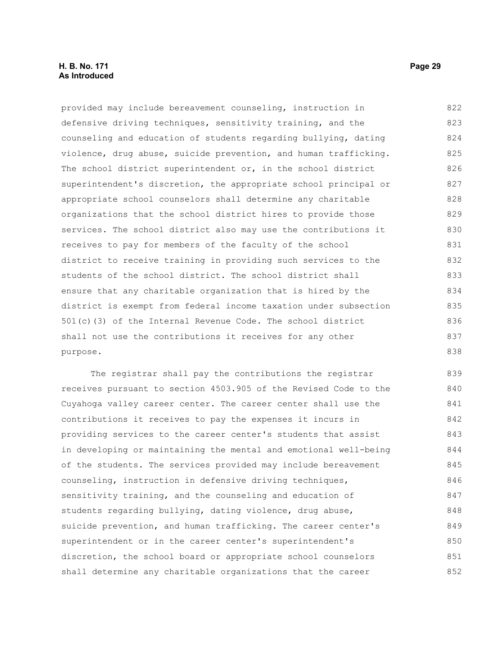#### **H. B. No. 171 Page 29 As Introduced**

provided may include bereavement counseling, instruction in defensive driving techniques, sensitivity training, and the counseling and education of students regarding bullying, dating violence, drug abuse, suicide prevention, and human trafficking. The school district superintendent or, in the school district superintendent's discretion, the appropriate school principal or appropriate school counselors shall determine any charitable organizations that the school district hires to provide those services. The school district also may use the contributions it receives to pay for members of the faculty of the school district to receive training in providing such services to the students of the school district. The school district shall ensure that any charitable organization that is hired by the district is exempt from federal income taxation under subsection 501(c)(3) of the Internal Revenue Code. The school district shall not use the contributions it receives for any other purpose. 822 823 824 825 826 827 828 829 830 831 832 833 834 835 836 837 838

The registrar shall pay the contributions the registrar receives pursuant to section 4503.905 of the Revised Code to the Cuyahoga valley career center. The career center shall use the contributions it receives to pay the expenses it incurs in providing services to the career center's students that assist in developing or maintaining the mental and emotional well-being of the students. The services provided may include bereavement counseling, instruction in defensive driving techniques, sensitivity training, and the counseling and education of students regarding bullying, dating violence, drug abuse, suicide prevention, and human trafficking. The career center's superintendent or in the career center's superintendent's discretion, the school board or appropriate school counselors shall determine any charitable organizations that the career 839 840 841 842 843 844 845 846 847 848 849 850 851 852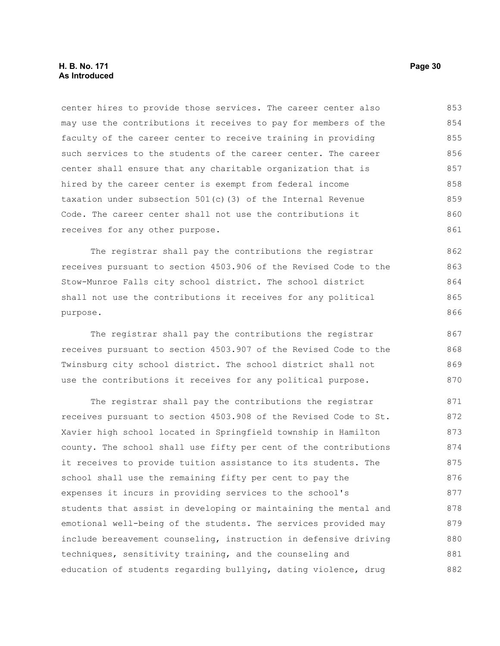center hires to provide those services. The career center also may use the contributions it receives to pay for members of the faculty of the career center to receive training in providing such services to the students of the career center. The career center shall ensure that any charitable organization that is hired by the career center is exempt from federal income taxation under subsection 501(c)(3) of the Internal Revenue Code. The career center shall not use the contributions it receives for any other purpose. 853 854 855 856 857 858 859 860 861

The registrar shall pay the contributions the registrar receives pursuant to section 4503.906 of the Revised Code to the Stow-Munroe Falls city school district. The school district shall not use the contributions it receives for any political purpose.

The registrar shall pay the contributions the registrar receives pursuant to section 4503.907 of the Revised Code to the Twinsburg city school district. The school district shall not use the contributions it receives for any political purpose.

The registrar shall pay the contributions the registrar receives pursuant to section 4503.908 of the Revised Code to St. Xavier high school located in Springfield township in Hamilton county. The school shall use fifty per cent of the contributions it receives to provide tuition assistance to its students. The school shall use the remaining fifty per cent to pay the expenses it incurs in providing services to the school's students that assist in developing or maintaining the mental and emotional well-being of the students. The services provided may include bereavement counseling, instruction in defensive driving techniques, sensitivity training, and the counseling and education of students regarding bullying, dating violence, drug 871 872 873 874 875 876 877 878 879 880 881 882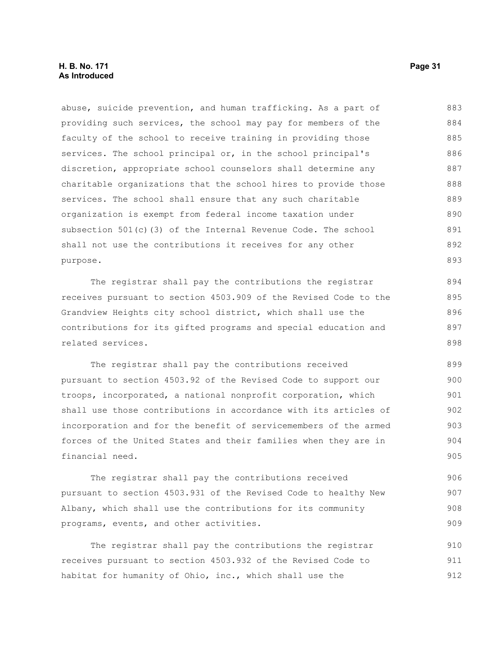#### **H. B. No. 171 Page 31 As Introduced**

abuse, suicide prevention, and human trafficking. As a part of providing such services, the school may pay for members of the faculty of the school to receive training in providing those services. The school principal or, in the school principal's discretion, appropriate school counselors shall determine any charitable organizations that the school hires to provide those services. The school shall ensure that any such charitable organization is exempt from federal income taxation under subsection 501(c)(3) of the Internal Revenue Code. The school shall not use the contributions it receives for any other purpose. 883 884 885 886 887 888 889 890 891 892 893

The registrar shall pay the contributions the registrar receives pursuant to section 4503.909 of the Revised Code to the Grandview Heights city school district, which shall use the contributions for its gifted programs and special education and related services.

The registrar shall pay the contributions received pursuant to section 4503.92 of the Revised Code to support our troops, incorporated, a national nonprofit corporation, which shall use those contributions in accordance with its articles of incorporation and for the benefit of servicemembers of the armed forces of the United States and their families when they are in financial need. 899 900 901 902 903 904 905

The registrar shall pay the contributions received pursuant to section 4503.931 of the Revised Code to healthy New Albany, which shall use the contributions for its community programs, events, and other activities.

The registrar shall pay the contributions the registrar receives pursuant to section 4503.932 of the Revised Code to habitat for humanity of Ohio, inc., which shall use the 910 911 912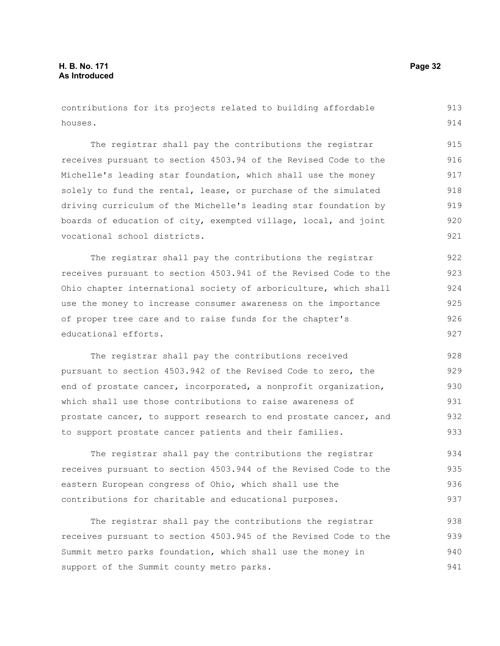contributions for its projects related to building affordable houses. 913 914

The registrar shall pay the contributions the registrar receives pursuant to section 4503.94 of the Revised Code to the Michelle's leading star foundation, which shall use the money solely to fund the rental, lease, or purchase of the simulated driving curriculum of the Michelle's leading star foundation by boards of education of city, exempted village, local, and joint vocational school districts. 915 916 917 918 919 920 921

The registrar shall pay the contributions the registrar receives pursuant to section 4503.941 of the Revised Code to the Ohio chapter international society of arboriculture, which shall use the money to increase consumer awareness on the importance of proper tree care and to raise funds for the chapter's educational efforts. 922 923 924 925 926 927

The registrar shall pay the contributions received pursuant to section 4503.942 of the Revised Code to zero, the end of prostate cancer, incorporated, a nonprofit organization, which shall use those contributions to raise awareness of prostate cancer, to support research to end prostate cancer, and to support prostate cancer patients and their families. 928 929 930 931 932 933

The registrar shall pay the contributions the registrar receives pursuant to section 4503.944 of the Revised Code to the eastern European congress of Ohio, which shall use the contributions for charitable and educational purposes. 934 935 936 937

The registrar shall pay the contributions the registrar receives pursuant to section 4503.945 of the Revised Code to the Summit metro parks foundation, which shall use the money in support of the Summit county metro parks. 938 939 940 941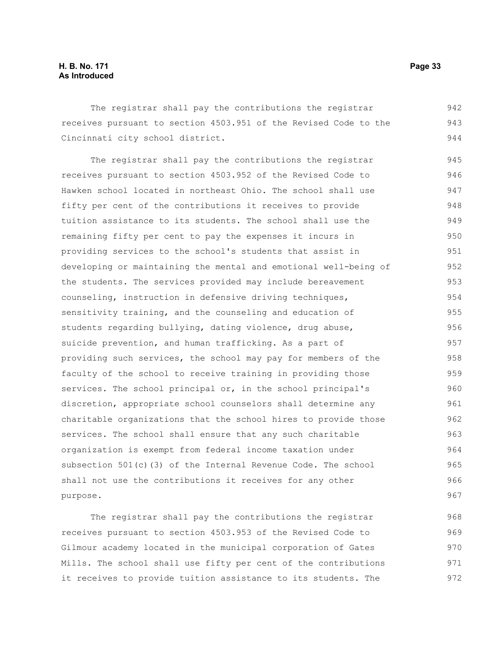#### **H. B. No. 171 Page 33 As Introduced**

The registrar shall pay the contributions the registrar receives pursuant to section 4503.951 of the Revised Code to the Cincinnati city school district. 942 943 944

The registrar shall pay the contributions the registrar receives pursuant to section 4503.952 of the Revised Code to Hawken school located in northeast Ohio. The school shall use fifty per cent of the contributions it receives to provide tuition assistance to its students. The school shall use the remaining fifty per cent to pay the expenses it incurs in providing services to the school's students that assist in developing or maintaining the mental and emotional well-being of the students. The services provided may include bereavement counseling, instruction in defensive driving techniques, sensitivity training, and the counseling and education of students regarding bullying, dating violence, drug abuse, suicide prevention, and human trafficking. As a part of providing such services, the school may pay for members of the faculty of the school to receive training in providing those services. The school principal or, in the school principal's discretion, appropriate school counselors shall determine any charitable organizations that the school hires to provide those services. The school shall ensure that any such charitable organization is exempt from federal income taxation under subsection 501(c)(3) of the Internal Revenue Code. The school shall not use the contributions it receives for any other purpose. 945 946 947 948 949 950 951 952 953 954 955 956 957 958 959 960 961 962 963 964 965 966 967

The registrar shall pay the contributions the registrar receives pursuant to section 4503.953 of the Revised Code to Gilmour academy located in the municipal corporation of Gates Mills. The school shall use fifty per cent of the contributions it receives to provide tuition assistance to its students. The 968 969 970 971 972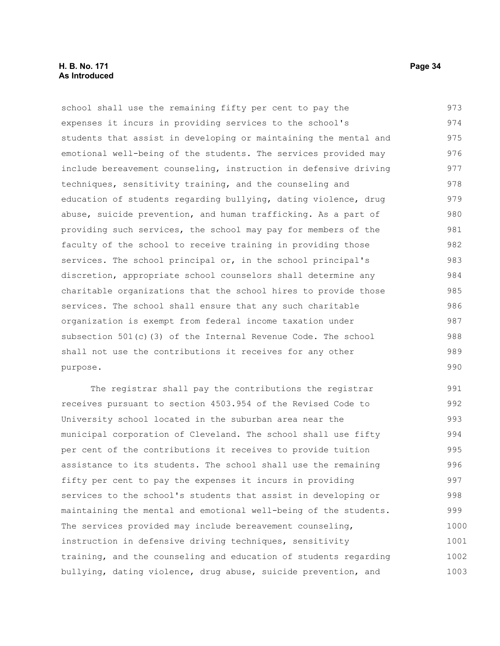#### **H. B. No. 171 Page 34 As Introduced**

school shall use the remaining fifty per cent to pay the expenses it incurs in providing services to the school's students that assist in developing or maintaining the mental and emotional well-being of the students. The services provided may include bereavement counseling, instruction in defensive driving techniques, sensitivity training, and the counseling and education of students regarding bullying, dating violence, drug abuse, suicide prevention, and human trafficking. As a part of providing such services, the school may pay for members of the faculty of the school to receive training in providing those services. The school principal or, in the school principal's discretion, appropriate school counselors shall determine any charitable organizations that the school hires to provide those services. The school shall ensure that any such charitable organization is exempt from federal income taxation under subsection 501(c)(3) of the Internal Revenue Code. The school shall not use the contributions it receives for any other purpose. 973 974 975 976 977 978 979 980 981 982 983 984 985 986 987 988 989 990

The registrar shall pay the contributions the registrar receives pursuant to section 4503.954 of the Revised Code to University school located in the suburban area near the municipal corporation of Cleveland. The school shall use fifty per cent of the contributions it receives to provide tuition assistance to its students. The school shall use the remaining fifty per cent to pay the expenses it incurs in providing services to the school's students that assist in developing or maintaining the mental and emotional well-being of the students. The services provided may include bereavement counseling, instruction in defensive driving techniques, sensitivity training, and the counseling and education of students regarding bullying, dating violence, drug abuse, suicide prevention, and 991 992 993 994 995 996 997 998 999 1000 1001 1002 1003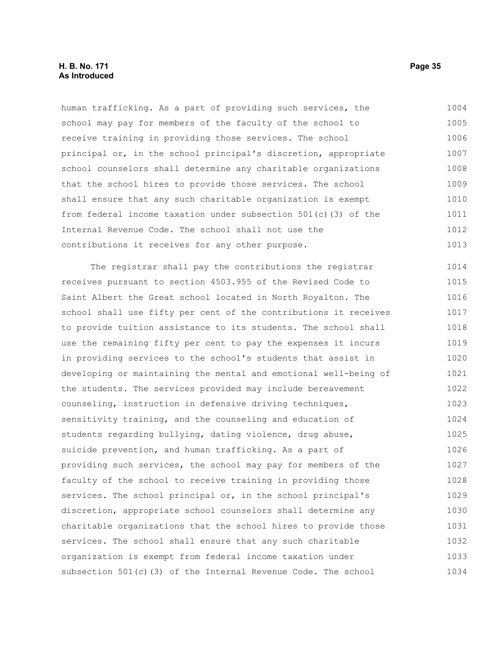#### **H. B. No. 171 Page 35 As Introduced**

human trafficking. As a part of providing such services, the school may pay for members of the faculty of the school to receive training in providing those services. The school principal or, in the school principal's discretion, appropriate school counselors shall determine any charitable organizations that the school hires to provide those services. The school shall ensure that any such charitable organization is exempt from federal income taxation under subsection 501(c)(3) of the Internal Revenue Code. The school shall not use the contributions it receives for any other purpose. 1004 1005 1006 1007 1008 1009 1010 1011 1012 1013

The registrar shall pay the contributions the registrar receives pursuant to section 4503.955 of the Revised Code to Saint Albert the Great school located in North Royalton. The school shall use fifty per cent of the contributions it receives to provide tuition assistance to its students. The school shall use the remaining fifty per cent to pay the expenses it incurs in providing services to the school's students that assist in developing or maintaining the mental and emotional well-being of the students. The services provided may include bereavement counseling, instruction in defensive driving techniques, sensitivity training, and the counseling and education of students regarding bullying, dating violence, drug abuse, suicide prevention, and human trafficking. As a part of providing such services, the school may pay for members of the faculty of the school to receive training in providing those services. The school principal or, in the school principal's discretion, appropriate school counselors shall determine any charitable organizations that the school hires to provide those services. The school shall ensure that any such charitable organization is exempt from federal income taxation under subsection 501(c)(3) of the Internal Revenue Code. The school 1014 1015 1016 1017 1018 1019 1020 1021 1022 1023 1024 1025 1026 1027 1028 1029 1030 1031 1032 1033 1034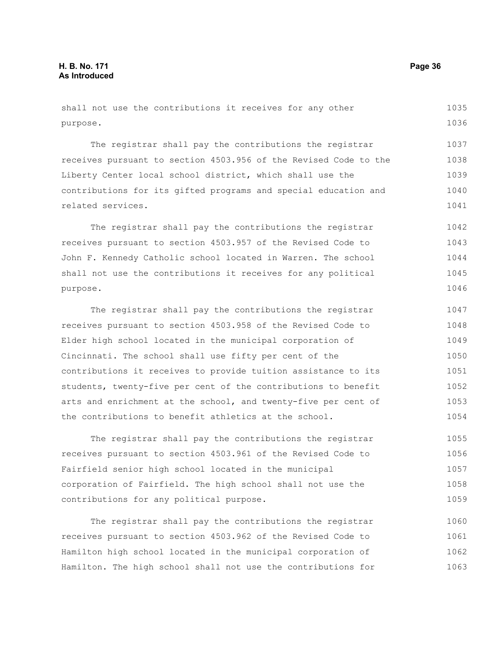shall not use the contributions it receives for any other purpose. 1035 1036

The registrar shall pay the contributions the registrar receives pursuant to section 4503.956 of the Revised Code to the Liberty Center local school district, which shall use the contributions for its gifted programs and special education and related services. 1037 1038 1039 1040 1041

The registrar shall pay the contributions the registrar receives pursuant to section 4503.957 of the Revised Code to John F. Kennedy Catholic school located in Warren. The school shall not use the contributions it receives for any political purpose. 1042 1043 1044 1045 1046

The registrar shall pay the contributions the registrar receives pursuant to section 4503.958 of the Revised Code to Elder high school located in the municipal corporation of Cincinnati. The school shall use fifty per cent of the contributions it receives to provide tuition assistance to its students, twenty-five per cent of the contributions to benefit arts and enrichment at the school, and twenty-five per cent of the contributions to benefit athletics at the school. 1047 1048 1049 1050 1051 1052 1053 1054

The registrar shall pay the contributions the registrar receives pursuant to section 4503.961 of the Revised Code to Fairfield senior high school located in the municipal corporation of Fairfield. The high school shall not use the contributions for any political purpose. 1055 1056 1057 1058 1059

The registrar shall pay the contributions the registrar receives pursuant to section 4503.962 of the Revised Code to Hamilton high school located in the municipal corporation of Hamilton. The high school shall not use the contributions for 1060 1061 1062 1063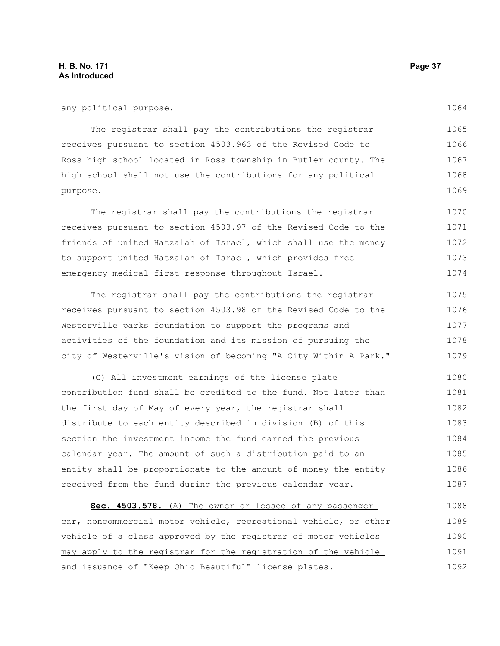The registrar shall pay the contributions the registrar receives pursuant to section 4503.963 of the Revised Code to Ross high school located in Ross township in Butler county. The high school shall not use the contributions for any political purpose. 1065 1066 1067 1068 1069

The registrar shall pay the contributions the registrar receives pursuant to section 4503.97 of the Revised Code to the friends of united Hatzalah of Israel, which shall use the money to support united Hatzalah of Israel, which provides free emergency medical first response throughout Israel. 1070 1071 1072 1073 1074

The registrar shall pay the contributions the registrar receives pursuant to section 4503.98 of the Revised Code to the Westerville parks foundation to support the programs and activities of the foundation and its mission of pursuing the city of Westerville's vision of becoming "A City Within A Park." 1075 1076 1077 1078 1079

(C) All investment earnings of the license plate contribution fund shall be credited to the fund. Not later than the first day of May of every year, the registrar shall distribute to each entity described in division (B) of this section the investment income the fund earned the previous calendar year. The amount of such a distribution paid to an entity shall be proportionate to the amount of money the entity received from the fund during the previous calendar year. 1080 1081 1082 1083 1084 1085 1086 1087

 **Sec. 4503.578.** (A) The owner or lessee of any passenger car, noncommercial motor vehicle, recreational vehicle, or other vehicle of a class approved by the registrar of motor vehicles may apply to the registrar for the registration of the vehicle and issuance of "Keep Ohio Beautiful" license plates. 1088 1089 1090 1091 1092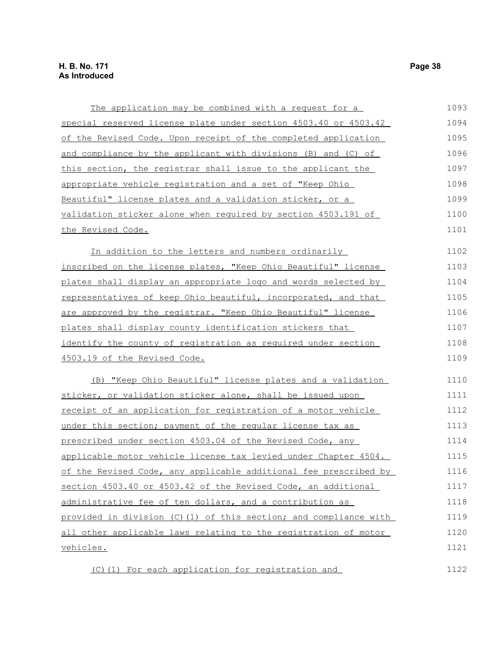### **H. B. No. 171 Page 38 As Introduced**

| The application may be combined with a request for a             | 1093 |
|------------------------------------------------------------------|------|
| special reserved license plate under section 4503.40 or 4503.42  | 1094 |
| of the Revised Code. Upon receipt of the completed application   | 1095 |
| and compliance by the applicant with divisions (B) and (C) of    | 1096 |
| this section, the registrar shall issue to the applicant the     | 1097 |
| appropriate vehicle registration and a set of "Keep Ohio         | 1098 |
| Beautiful" license plates and a validation sticker, or a         | 1099 |
| validation sticker alone when required by section 4503.191 of    | 1100 |
| the Revised Code.                                                | 1101 |
| In addition to the letters and numbers ordinarily                | 1102 |
| inscribed on the license plates, "Keep Ohio Beautiful" license   | 1103 |
| plates shall display an appropriate logo and words selected by   | 1104 |
| representatives of keep Ohio beautiful, incorporated, and that   | 1105 |
| are approved by the registrar. "Keep Ohio Beautiful" license     | 1106 |
| plates shall display county identification stickers that         | 1107 |
| identify the county of registration as required under section    | 1108 |
| 4503.19 of the Revised Code.                                     | 1109 |
| (B) "Keep Ohio Beautiful" license plates and a validation        | 1110 |
| sticker, or validation sticker alone, shall be issued upon       | 1111 |
| receipt of an application for registration of a motor vehicle    | 1112 |
| under this section; payment of the reqular license tax as        | 1113 |
| prescribed under section 4503.04 of the Revised Code, any        | 1114 |
| applicable motor vehicle license tax levied under Chapter 4504.  | 1115 |
| of the Revised Code, any applicable additional fee prescribed by | 1116 |
| section 4503.40 or 4503.42 of the Revised Code, an additional    | 1117 |
| administrative fee of ten dollars, and a contribution as         | 1118 |
| provided in division (C)(1) of this section; and compliance with | 1119 |
| all other applicable laws relating to the registration of motor  | 1120 |
| vehicles.                                                        | 1121 |
| (C) (1) For each application for registration and                | 1122 |